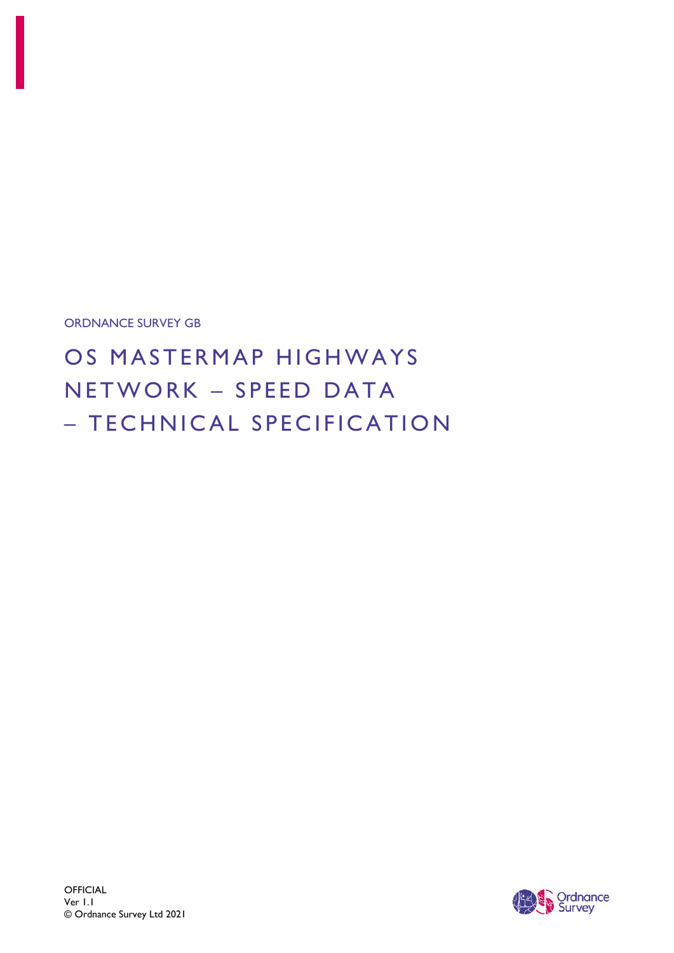ORDNANCE SURVEY GB

OS MASTERMAP HIGHWAYS N E T W O R K – SPEED DATA – TECHNICAL SPECIFICATION

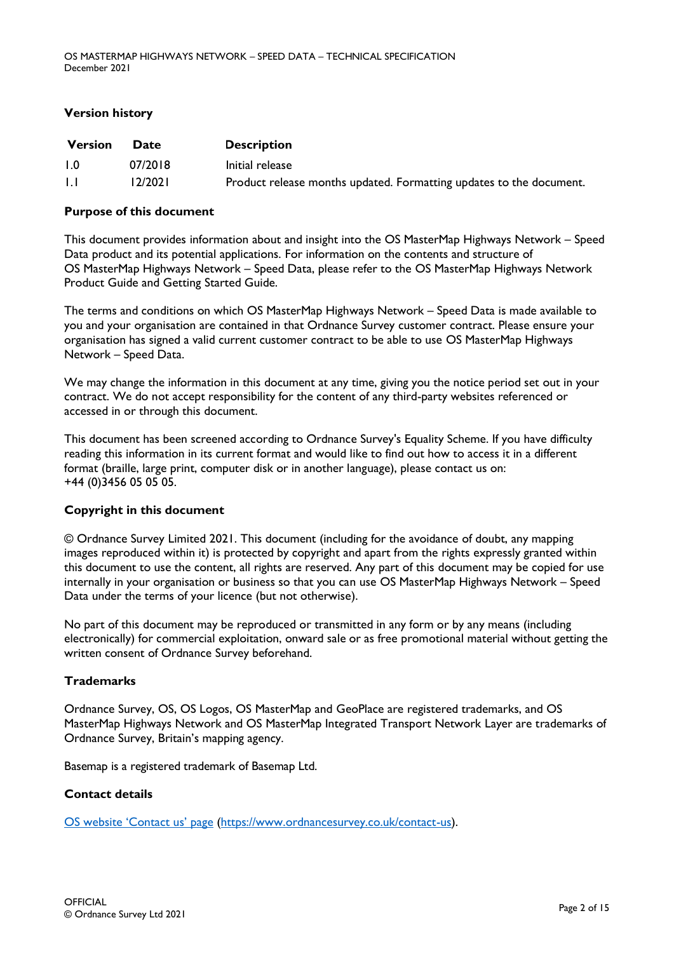### **Version history**

| <b>Version</b>   | <b>Date</b> | <b>Description</b>                                                  |
|------------------|-------------|---------------------------------------------------------------------|
| $\overline{1.0}$ | 07/2018     | Initial release                                                     |
| . I . I          | 12/2021     | Product release months updated. Formatting updates to the document. |

### **Purpose of this document**

This document provides information about and insight into the OS MasterMap Highways Network – Speed Data product and its potential applications. For information on the contents and structure of OS MasterMap Highways Network – Speed Data, please refer to the OS MasterMap Highways Network Product Guide and Getting Started Guide.

The terms and conditions on which OS MasterMap Highways Network – Speed Data is made available to you and your organisation are contained in that Ordnance Survey customer contract. Please ensure your organisation has signed a valid current customer contract to be able to use OS MasterMap Highways Network – Speed Data.

We may change the information in this document at any time, giving you the notice period set out in your contract. We do not accept responsibility for the content of any third-party websites referenced or accessed in or through this document.

This document has been screened according to Ordnance Survey's Equality Scheme. If you have difficulty reading this information in its current format and would like to find out how to access it in a different format (braille, large print, computer disk or in another language), please contact us on: +44 (0)3456 05 05 05.

### **Copyright in this document**

© Ordnance Survey Limited 2021. This document (including for the avoidance of doubt, any mapping images reproduced within it) is protected by copyright and apart from the rights expressly granted within this document to use the content, all rights are reserved. Any part of this document may be copied for use internally in your organisation or business so that you can use OS MasterMap Highways Network – Speed Data under the terms of your licence (but not otherwise).

No part of this document may be reproduced or transmitted in any form or by any means (including electronically) for commercial exploitation, onward sale or as free promotional material without getting the written consent of Ordnance Survey beforehand.

### **Trademarks**

Ordnance Survey, OS, OS Logos, OS MasterMap and GeoPlace are registered trademarks, and OS MasterMap Highways Network and OS MasterMap Integrated Transport Network Layer are trademarks of Ordnance Survey, Britain's mapping agency.

Basemap is a registered trademark of Basemap Ltd.

### **Contact details**

[OS website 'C](https://www.ordnancesurvey.co.uk/contact-us)ontact us' page [\(https://www.ordnancesurvey.co.uk/contact-us\)](https://www.ordnancesurvey.co.uk/contact-us).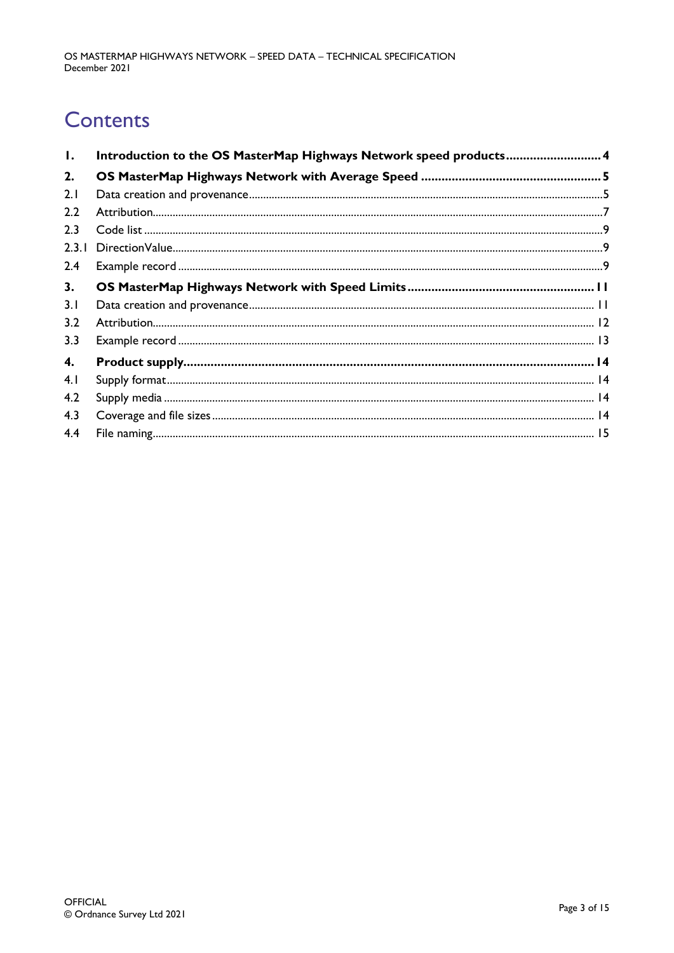# **Contents**

| Ι.    | Introduction to the OS MasterMap Highways Network speed products 4 |  |
|-------|--------------------------------------------------------------------|--|
| 2.    |                                                                    |  |
| 2.1   |                                                                    |  |
| 2.2   |                                                                    |  |
| 2.3   |                                                                    |  |
| 2.3.1 |                                                                    |  |
| 2.4   |                                                                    |  |
| 3.    |                                                                    |  |
| 3.1   |                                                                    |  |
| 3.2   |                                                                    |  |
| 3.3   |                                                                    |  |
| 4.    |                                                                    |  |
| 4.1   |                                                                    |  |
| 4.2   |                                                                    |  |
| 4.3   |                                                                    |  |
| 4.4   |                                                                    |  |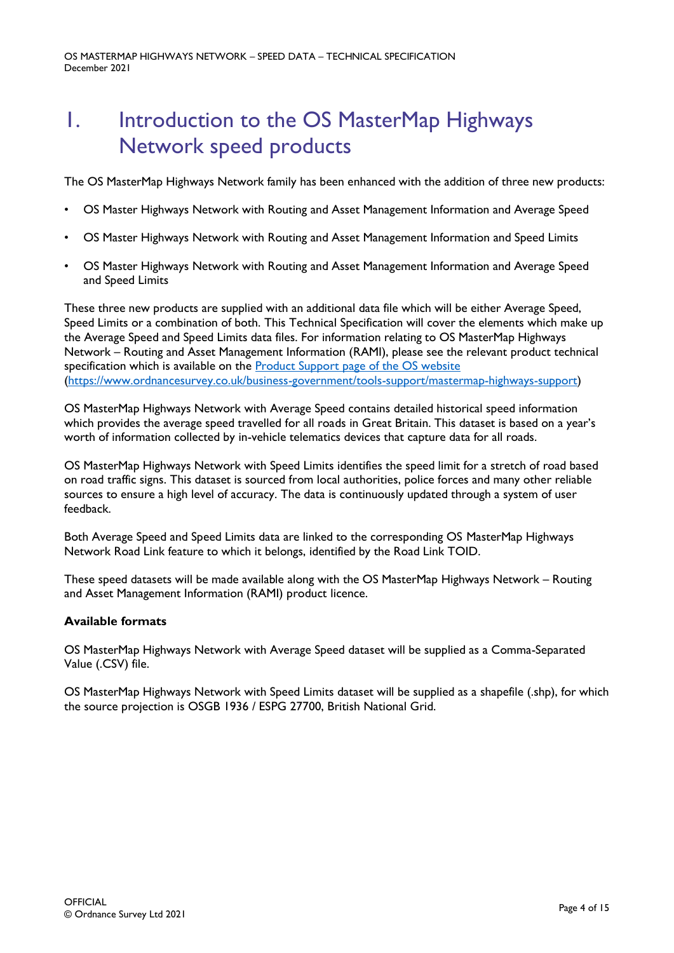# <span id="page-3-0"></span>1. Introduction to the OS MasterMap Highways Network speed products

The OS MasterMap Highways Network family has been enhanced with the addition of three new products:

- OS Master Highways Network with Routing and Asset Management Information and Average Speed
- OS Master Highways Network with Routing and Asset Management Information and Speed Limits
- OS Master Highways Network with Routing and Asset Management Information and Average Speed and Speed Limits

These three new products are supplied with an additional data file which will be either Average Speed, Speed Limits or a combination of both. This Technical Specification will cover the elements which make up the Average Speed and Speed Limits data files. For information relating to OS MasterMap Highways Network – Routing and Asset Management Information (RAMI), please see the relevant product technical specification which is available on the [Product Support page of the OS website](https://www.ordnancesurvey.co.uk/business-government/tools-support/mastermap-highways-support) [\(https://www.ordnancesurvey.co.uk/business-government/tools-support/mastermap-highways-support\)](https://www.ordnancesurvey.co.uk/business-government/tools-support/mastermap-highways-support)

OS MasterMap Highways Network with Average Speed contains detailed historical speed information which provides the average speed travelled for all roads in Great Britain. This dataset is based on a year's worth of information collected by in-vehicle telematics devices that capture data for all roads.

OS MasterMap Highways Network with Speed Limits identifies the speed limit for a stretch of road based on road traffic signs. This dataset is sourced from local authorities, police forces and many other reliable sources to ensure a high level of accuracy. The data is continuously updated through a system of user feedback.

Both Average Speed and Speed Limits data are linked to the corresponding OS MasterMap Highways Network Road Link feature to which it belongs, identified by the Road Link TOID.

These speed datasets will be made available along with the OS MasterMap Highways Network – Routing and Asset Management Information (RAMI) product licence.

### **Available formats**

OS MasterMap Highways Network with Average Speed dataset will be supplied as a Comma-Separated Value (.CSV) file.

OS MasterMap Highways Network with Speed Limits dataset will be supplied as a shapefile (.shp), for which the source projection is OSGB 1936 / ESPG 27700, British National Grid.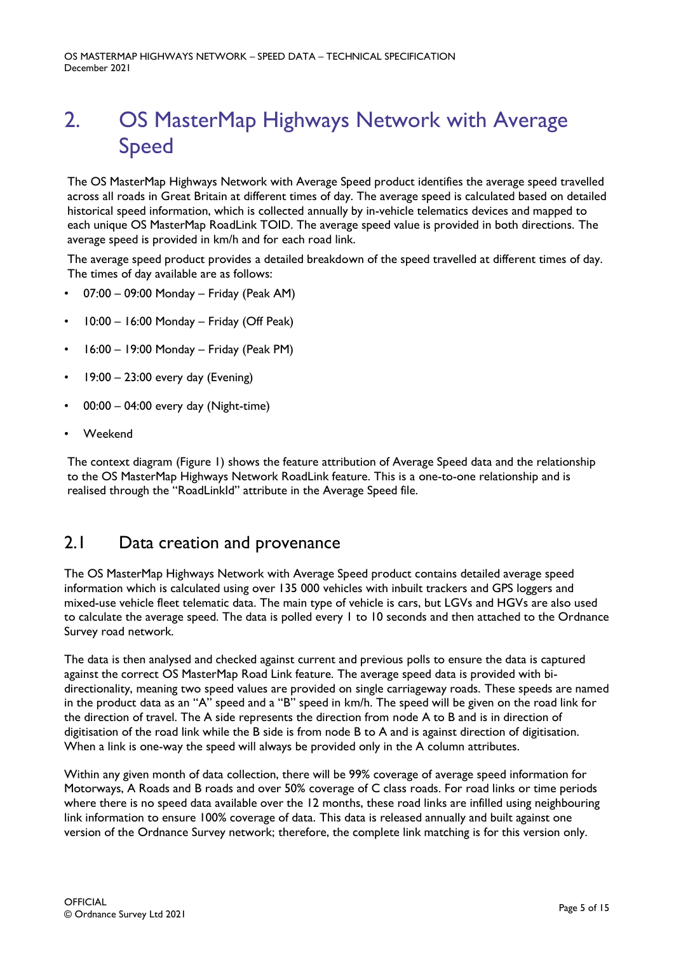OS MASTERMAP HIGHWAYS NETWORK – SPEED DATA – TECHNICAL SPECIFICATION December 2021

# <span id="page-4-2"></span><span id="page-4-0"></span>2. OS MasterMap Highways Network with Average Speed

The OS MasterMap Highways Network with Average Speed product identifies the average speed travelled across all roads in Great Britain at different times of day. The average speed is calculated based on detailed historical speed information, which is collected annually by in-vehicle telematics devices and mapped to each unique OS MasterMap RoadLink TOID. The average speed value is provided in both directions. The average speed is provided in km/h and for each road link.

The average speed product provides a detailed breakdown of the speed travelled at different times of day. The times of day available are as follows:

- 07:00 09:00 Monday Friday (Peak AM)
- 10:00 16:00 Monday Friday (Off Peak)
- 16:00 19:00 Monday Friday (Peak PM)
- 19:00 23:00 every day (Evening)
- 00:00 04:00 every day (Night-time)
- Weekend

The context diagram (Figure 1) shows the feature attribution of Average Speed data and the relationship to the OS MasterMap Highways Network RoadLink feature. This is a one-to-one relationship and is realised through the "RoadLinkId" attribute in the Average Speed file.

## <span id="page-4-1"></span>2.1 Data creation and provenance

The OS MasterMap Highways Network with Average Speed product contains detailed average speed information which is calculated using over 135 000 vehicles with inbuilt trackers and GPS loggers and mixed-use vehicle fleet telematic data. The main type of vehicle is cars, but LGVs and HGVs are also used to calculate the average speed. The data is polled every 1 to 10 seconds and then attached to the Ordnance Survey road network.

The data is then analysed and checked against current and previous polls to ensure the data is captured against the correct OS MasterMap Road Link feature. The average speed data is provided with bidirectionality, meaning two speed values are provided on single carriageway roads. These speeds are named in the product data as an "A" speed and a "B" speed in km/h. The speed will be given on the road link for the direction of travel. The A side represents the direction from node A to B and is in direction of digitisation of the road link while the B side is from node B to A and is against direction of digitisation. When a link is one-way the speed will always be provided only in the A column attributes.

Within any given month of data collection, there will be 99% coverage of average speed information for Motorways, A Roads and B roads and over 50% coverage of C class roads. For road links or time periods where there is no speed data available over the 12 months, these road links are infilled using neighbouring link information to ensure 100% coverage of data. This data is released annually and built against one version of the Ordnance Survey network; therefore, the complete link matching is for this version only.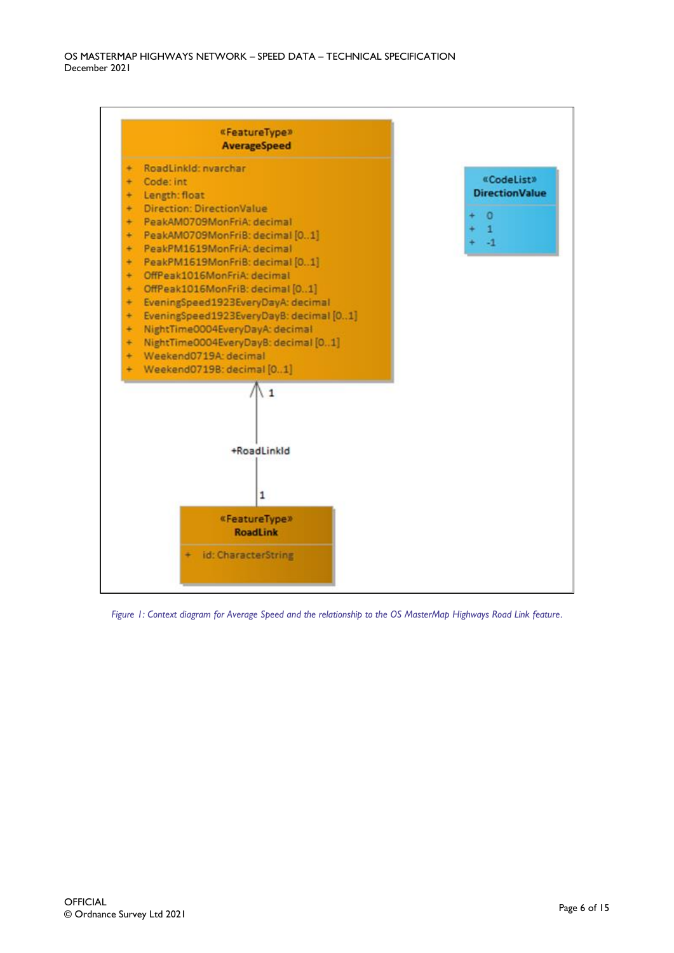

*Figure 1: Context diagram for Average Speed and the relationship to the OS MasterMap Highways Road Link feature.*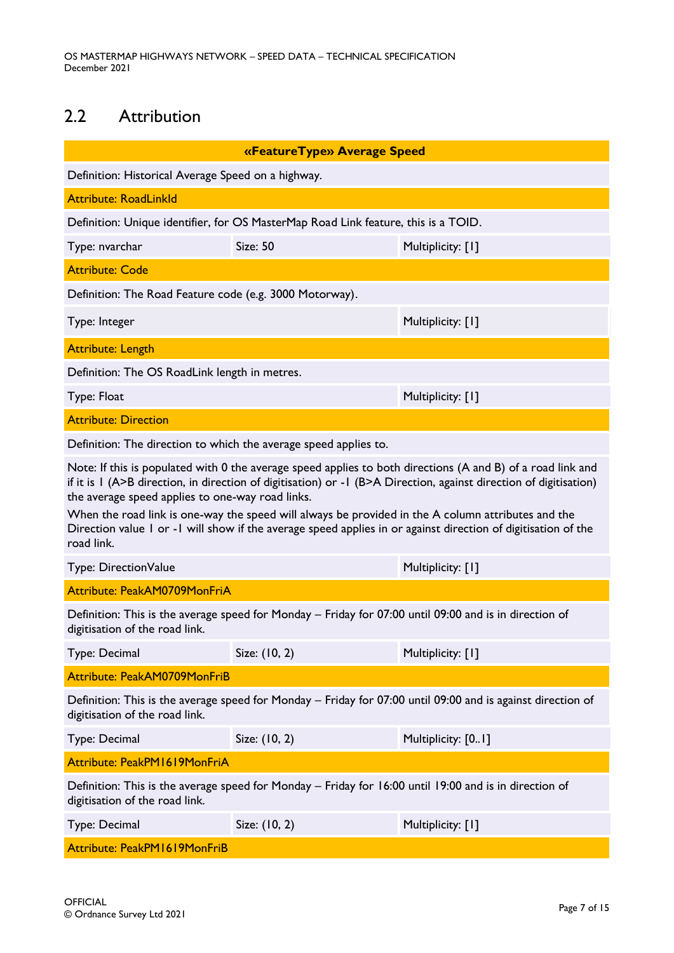# <span id="page-6-0"></span>2.2 Attribution

|                                                                                                                                                                                                                                                                                                                                                                                                                                                                                                                           | «FeatureType» Average Speed                                                        |                    |
|---------------------------------------------------------------------------------------------------------------------------------------------------------------------------------------------------------------------------------------------------------------------------------------------------------------------------------------------------------------------------------------------------------------------------------------------------------------------------------------------------------------------------|------------------------------------------------------------------------------------|--------------------|
| Definition: Historical Average Speed on a highway.                                                                                                                                                                                                                                                                                                                                                                                                                                                                        |                                                                                    |                    |
| <b>Attribute: RoadLinkld</b>                                                                                                                                                                                                                                                                                                                                                                                                                                                                                              |                                                                                    |                    |
|                                                                                                                                                                                                                                                                                                                                                                                                                                                                                                                           | Definition: Unique identifier, for OS MasterMap Road Link feature, this is a TOID. |                    |
| Type: nvarchar                                                                                                                                                                                                                                                                                                                                                                                                                                                                                                            | <b>Size: 50</b>                                                                    | Multiplicity: [1]  |
| <b>Attribute: Code</b>                                                                                                                                                                                                                                                                                                                                                                                                                                                                                                    |                                                                                    |                    |
| Definition: The Road Feature code (e.g. 3000 Motorway).                                                                                                                                                                                                                                                                                                                                                                                                                                                                   |                                                                                    |                    |
| Type: Integer                                                                                                                                                                                                                                                                                                                                                                                                                                                                                                             |                                                                                    | Multiplicity: [1]  |
| <b>Attribute: Length</b>                                                                                                                                                                                                                                                                                                                                                                                                                                                                                                  |                                                                                    |                    |
| Definition: The OS RoadLink length in metres.                                                                                                                                                                                                                                                                                                                                                                                                                                                                             |                                                                                    |                    |
| Type: Float                                                                                                                                                                                                                                                                                                                                                                                                                                                                                                               |                                                                                    | Multiplicity: [1]  |
| <b>Attribute: Direction</b>                                                                                                                                                                                                                                                                                                                                                                                                                                                                                               |                                                                                    |                    |
| Definition: The direction to which the average speed applies to.                                                                                                                                                                                                                                                                                                                                                                                                                                                          |                                                                                    |                    |
| Note: If this is populated with 0 the average speed applies to both directions (A and B) of a road link and<br>if it is I (A>B direction, in direction of digitisation) or -1 (B>A Direction, against direction of digitisation)<br>the average speed applies to one-way road links.<br>When the road link is one-way the speed will always be provided in the A column attributes and the<br>Direction value 1 or -1 will show if the average speed applies in or against direction of digitisation of the<br>road link. |                                                                                    |                    |
| Type: DirectionValue                                                                                                                                                                                                                                                                                                                                                                                                                                                                                                      |                                                                                    | Multiplicity: [1]  |
| Attribute: PeakAM0709MonFriA                                                                                                                                                                                                                                                                                                                                                                                                                                                                                              |                                                                                    |                    |
| Definition: This is the average speed for Monday - Friday for 07:00 until 09:00 and is in direction of<br>digitisation of the road link.                                                                                                                                                                                                                                                                                                                                                                                  |                                                                                    |                    |
| Type: Decimal                                                                                                                                                                                                                                                                                                                                                                                                                                                                                                             | Size: (10, 2)                                                                      | Multiplicity: [1]  |
| Attribute: PeakAM0709MonFriB                                                                                                                                                                                                                                                                                                                                                                                                                                                                                              |                                                                                    |                    |
| Definition: This is the average speed for Monday - Friday for 07:00 until 09:00 and is against direction of<br>digitisation of the road link.                                                                                                                                                                                                                                                                                                                                                                             |                                                                                    |                    |
| Type: Decimal                                                                                                                                                                                                                                                                                                                                                                                                                                                                                                             | Size: (10, 2)                                                                      | Multiplicity: [01] |
| Attribute: PeakPM1619MonFriA                                                                                                                                                                                                                                                                                                                                                                                                                                                                                              |                                                                                    |                    |
| Definition: This is the average speed for Monday - Friday for 16:00 until 19:00 and is in direction of<br>digitisation of the road link.                                                                                                                                                                                                                                                                                                                                                                                  |                                                                                    |                    |
| Type: Decimal                                                                                                                                                                                                                                                                                                                                                                                                                                                                                                             | Size: (10, 2)                                                                      | Multiplicity: [1]  |
| Attribute: PeakPM1619MonFriB                                                                                                                                                                                                                                                                                                                                                                                                                                                                                              |                                                                                    |                    |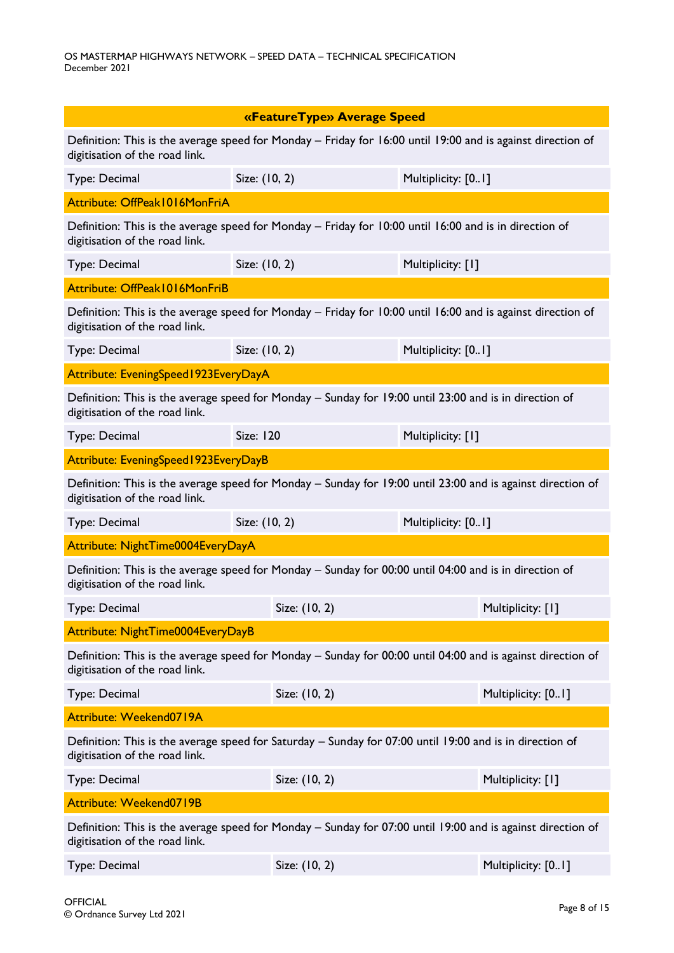| «FeatureType» Average Speed                                                                                                                   |                  |                                                                                                             |  |
|-----------------------------------------------------------------------------------------------------------------------------------------------|------------------|-------------------------------------------------------------------------------------------------------------|--|
|                                                                                                                                               |                  |                                                                                                             |  |
| digitisation of the road link.                                                                                                                |                  | Definition: This is the average speed for Monday - Friday for 16:00 until 19:00 and is against direction of |  |
| Type: Decimal                                                                                                                                 | Size: (10, 2)    | Multiplicity: [01]                                                                                          |  |
| Attribute: OffPeak1016MonFriA                                                                                                                 |                  |                                                                                                             |  |
| digitisation of the road link.                                                                                                                |                  | Definition: This is the average speed for Monday - Friday for 10:00 until 16:00 and is in direction of      |  |
| Type: Decimal                                                                                                                                 | Size: (10, 2)    | Multiplicity: [1]                                                                                           |  |
| Attribute: OffPeak1016MonFriB                                                                                                                 |                  |                                                                                                             |  |
| Definition: This is the average speed for Monday - Friday for 10:00 until 16:00 and is against direction of<br>digitisation of the road link. |                  |                                                                                                             |  |
| Type: Decimal                                                                                                                                 | Size: (10, 2)    | Multiplicity: [01]                                                                                          |  |
| Attribute: EveningSpeed1923EveryDayA                                                                                                          |                  |                                                                                                             |  |
| Definition: This is the average speed for Monday - Sunday for 19:00 until 23:00 and is in direction of<br>digitisation of the road link.      |                  |                                                                                                             |  |
| Type: Decimal                                                                                                                                 | <b>Size: 120</b> | Multiplicity: [1]                                                                                           |  |
| Attribute: EveningSpeed1923EveryDayB                                                                                                          |                  |                                                                                                             |  |
| Definition: This is the average speed for Monday - Sunday for 19:00 until 23:00 and is against direction of<br>digitisation of the road link. |                  |                                                                                                             |  |
| Type: Decimal                                                                                                                                 | Size: (10, 2)    | Multiplicity: [01]                                                                                          |  |
| Attribute: NightTime0004EveryDayA                                                                                                             |                  |                                                                                                             |  |
| Definition: This is the average speed for Monday – Sunday for 00:00 until 04:00 and is in direction of<br>digitisation of the road link.      |                  |                                                                                                             |  |
| Type: Decimal                                                                                                                                 | Size: (10, 2)    | Multiplicity: [1]                                                                                           |  |
| Attribute: NightTime0004EveryDayB                                                                                                             |                  |                                                                                                             |  |
| Definition: This is the average speed for Monday - Sunday for 00:00 until 04:00 and is against direction of<br>digitisation of the road link. |                  |                                                                                                             |  |
| Type: Decimal                                                                                                                                 | Size: (10, 2)    | Multiplicity: [01]                                                                                          |  |
| Attribute: Weekend0719A                                                                                                                       |                  |                                                                                                             |  |
| Definition: This is the average speed for Saturday - Sunday for 07:00 until 19:00 and is in direction of<br>digitisation of the road link.    |                  |                                                                                                             |  |
| Type: Decimal                                                                                                                                 | Size: (10, 2)    | Multiplicity: [1]                                                                                           |  |
| Attribute: Weekend0719B                                                                                                                       |                  |                                                                                                             |  |
| digitisation of the road link.                                                                                                                |                  | Definition: This is the average speed for Monday - Sunday for 07:00 until 19:00 and is against direction of |  |
| Type: Decimal                                                                                                                                 | Size: (10, 2)    | Multiplicity: [01]                                                                                          |  |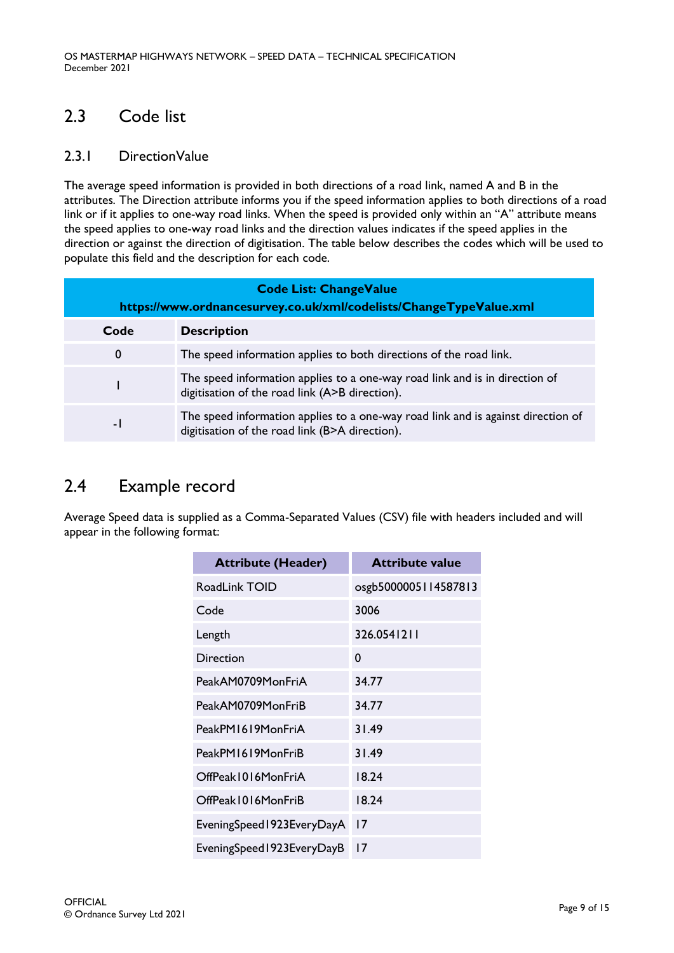## <span id="page-8-0"></span>2.3 Code list

## <span id="page-8-1"></span>2.3.1 DirectionValue

The average speed information is provided in both directions of a road link, named A and B in the attributes. The Direction attribute informs you if the speed information applies to both directions of a road link or if it applies to one-way road links. When the speed is provided only within an "A" attribute means the speed applies to one-way road links and the direction values indicates if the speed applies in the direction or against the direction of digitisation. The table below describes the codes which will be used to populate this field and the description for each code.

| <b>Code List: ChangeValue</b><br>https://www.ordnancesurvey.co.uk/xml/codelists/ChangeTypeValue.xml |                                                                                                                                    |  |
|-----------------------------------------------------------------------------------------------------|------------------------------------------------------------------------------------------------------------------------------------|--|
| Code                                                                                                | <b>Description</b>                                                                                                                 |  |
| 0                                                                                                   | The speed information applies to both directions of the road link.                                                                 |  |
|                                                                                                     | The speed information applies to a one-way road link and is in direction of<br>digitisation of the road link (A>B direction).      |  |
| $\blacksquare$                                                                                      | The speed information applies to a one-way road link and is against direction of<br>digitisation of the road link (B>A direction). |  |

## <span id="page-8-2"></span>2.4 Example record

Average Speed data is supplied as a Comma-Separated Values (CSV) file with headers included and will appear in the following format:

| <b>Attribute (Header)</b> | <b>Attribute value</b> |
|---------------------------|------------------------|
| RoadLink TOID             | osgb5000005114587813   |
| Code                      | 3006                   |
| Length                    | 326.0541211            |
| Direction                 | 0                      |
| PeakAM0709MonFriA         | 34.77                  |
| PeakAM0709MonFriB         | 34.77                  |
| PeakPM1619MonFriA         | 31.49                  |
| PeakPM1619MonFriB         | 31.49                  |
| OffPeak1016MonFriA        | 18.24                  |
| OffPeak1016MonFriB        | 18.24                  |
| EveningSpeed1923EveryDayA | 17                     |
| EveningSpeed1923EveryDayB | 17                     |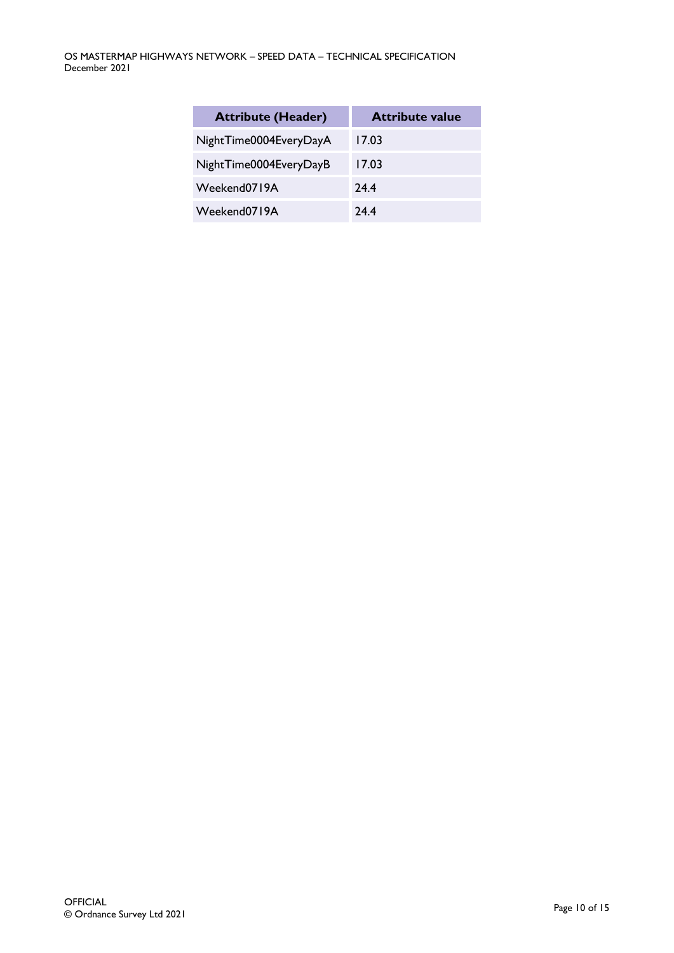| <b>Attribute (Header)</b> | <b>Attribute value</b> |
|---------------------------|------------------------|
| NightTime0004EveryDayA    | 17.03                  |
| NightTime0004EveryDayB    | 17.03                  |
| Weekend0719A              | 24.4                   |
| Weekend0719A              | 74.4                   |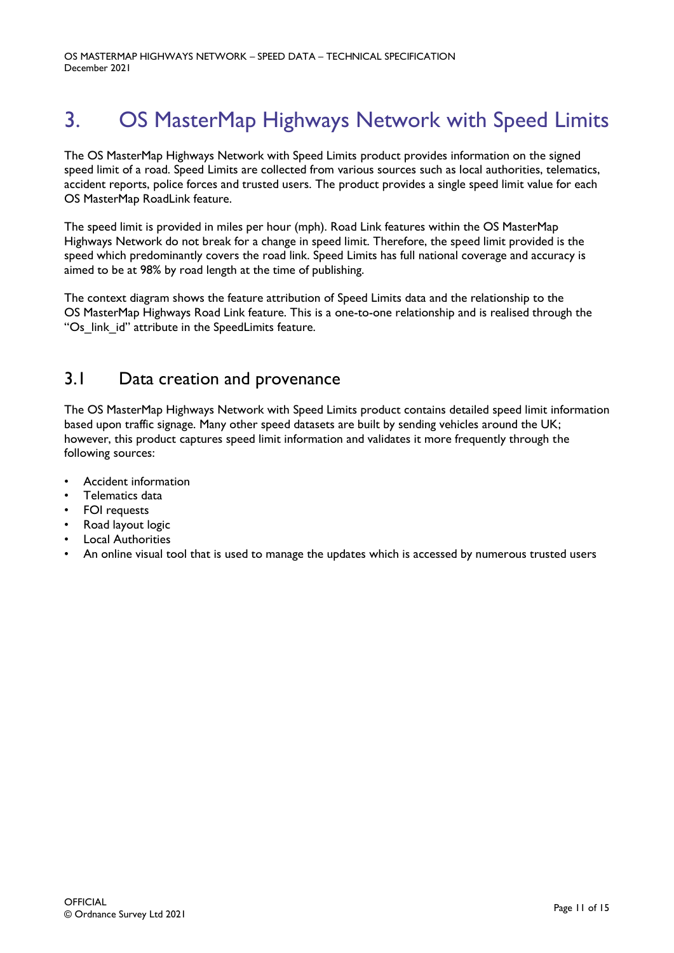# <span id="page-10-0"></span>3. OS MasterMap Highways Network with Speed Limits

The OS MasterMap Highways Network with Speed Limits product provides information on the signed speed limit of a road. Speed Limits are collected from various sources such as local authorities, telematics, accident reports, police forces and trusted users. The product provides a single speed limit value for each OS MasterMap RoadLink feature.

The speed limit is provided in miles per hour (mph). Road Link features within the OS MasterMap Highways Network do not break for a change in speed limit. Therefore, the speed limit provided is the speed which predominantly covers the road link. Speed Limits has full national coverage and accuracy is aimed to be at 98% by road length at the time of publishing.

The context diagram shows the feature attribution of Speed Limits data and the relationship to the OS MasterMap Highways Road Link feature. This is a one-to-one relationship and is realised through the "Os link id" attribute in the SpeedLimits feature.

## <span id="page-10-1"></span>3.1 Data creation and provenance

The OS MasterMap Highways Network with Speed Limits product contains detailed speed limit information based upon traffic signage. Many other speed datasets are built by sending vehicles around the UK; however, this product captures speed limit information and validates it more frequently through the following sources:

- Accident information
- Telematics data
- FOI requests
- Road layout logic
- Local Authorities
- An online visual tool that is used to manage the updates which is accessed by numerous trusted users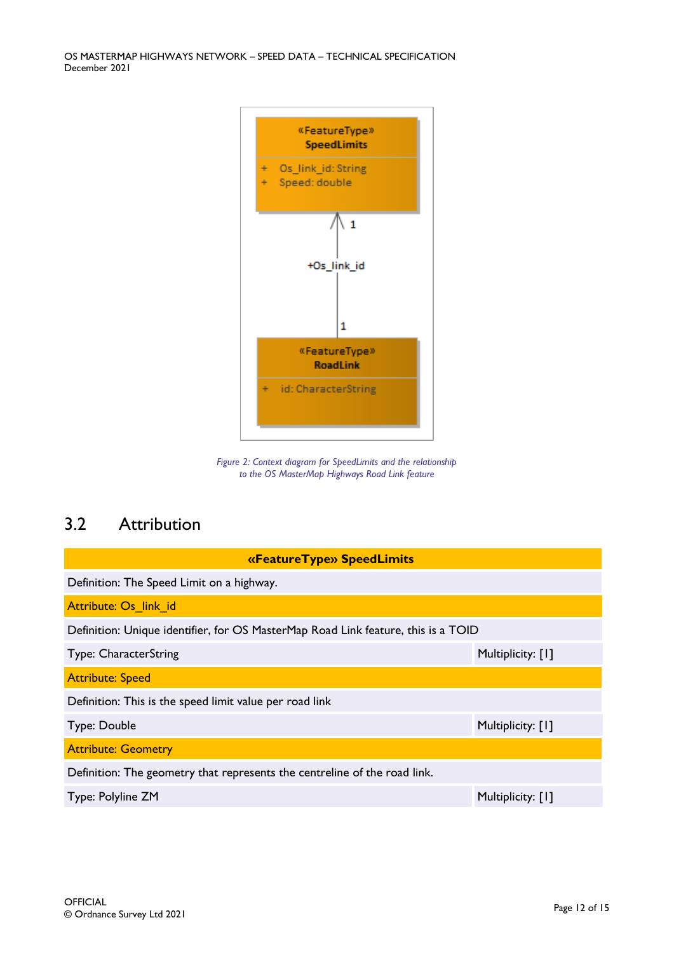OS MASTERMAP HIGHWAYS NETWORK – SPEED DATA – TECHNICAL SPECIFICATION December 2021



*Figure 2: Context diagram for SpeedLimits and the relationship to the OS MasterMap Highways Road Link feature*

## <span id="page-11-0"></span>3.2 Attribution

| «Feature Type» Speed Limits                                                       |                   |  |
|-----------------------------------------------------------------------------------|-------------------|--|
| Definition: The Speed Limit on a highway.                                         |                   |  |
| Attribute: Os link id                                                             |                   |  |
| Definition: Unique identifier, for OS MasterMap Road Link feature, this is a TOID |                   |  |
| Type: CharacterString                                                             | Multiplicity: [1] |  |
| <b>Attribute: Speed</b>                                                           |                   |  |
| Definition: This is the speed limit value per road link                           |                   |  |
| Type: Double                                                                      | Multiplicity: [1] |  |
| <b>Attribute: Geometry</b>                                                        |                   |  |
| Definition: The geometry that represents the centreline of the road link.         |                   |  |
| Type: Polyline ZM                                                                 | Multiplicity: [1] |  |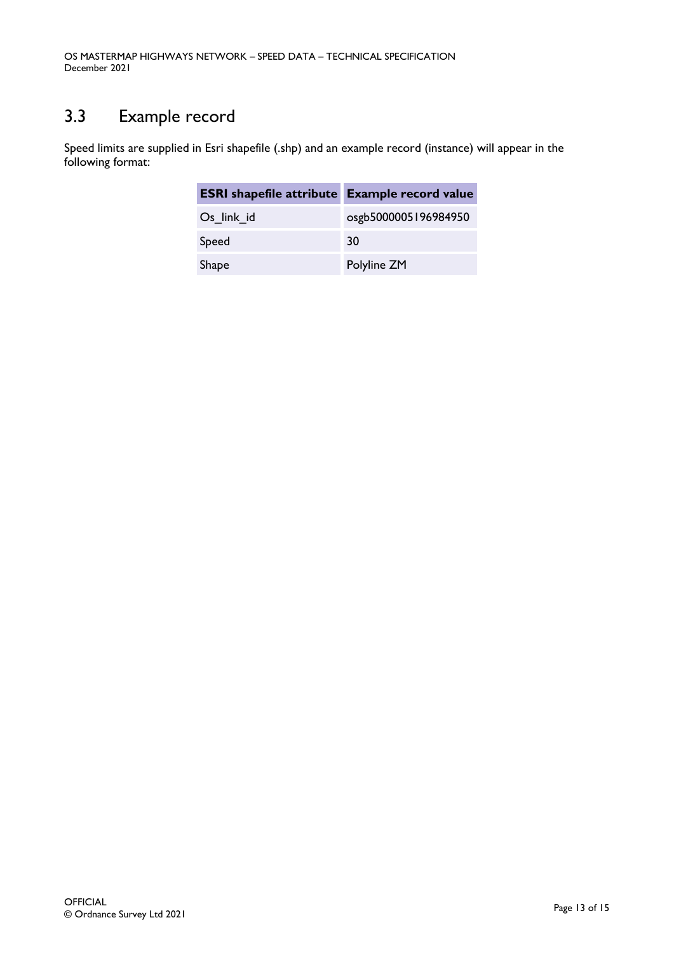## <span id="page-12-0"></span>3.3 Example record

Speed limits are supplied in Esri shapefile (.shp) and an example record (instance) will appear in the following format:

| <b>ESRI</b> shapefile attribute Example record value |                      |
|------------------------------------------------------|----------------------|
| Os link id                                           | osgb5000005196984950 |
| Speed                                                | 30                   |
| <b>Shape</b>                                         | Polyline ZM          |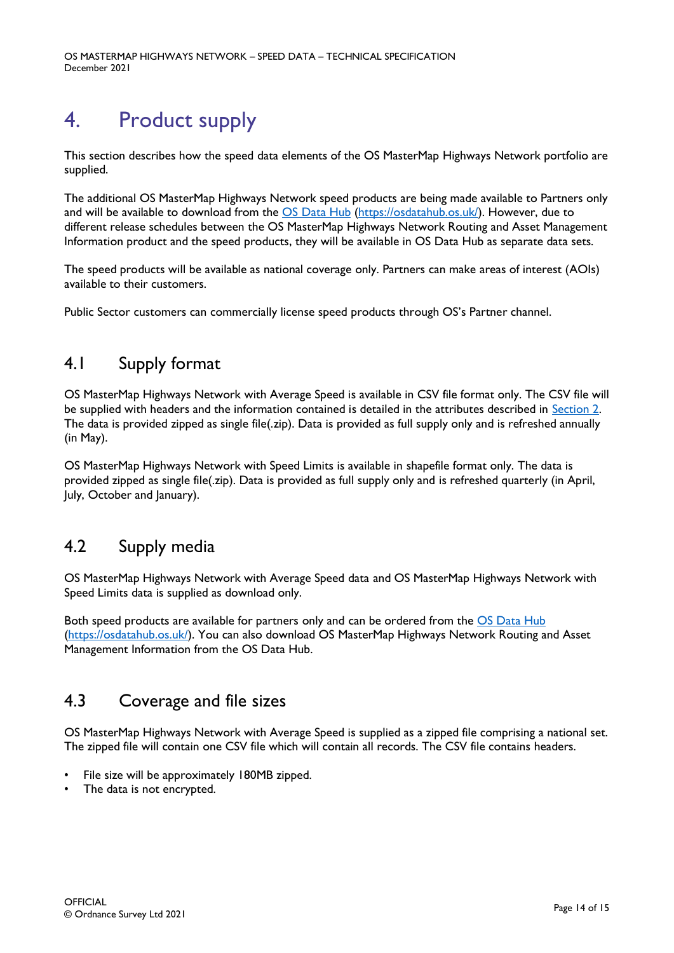OS MASTERMAP HIGHWAYS NETWORK – SPEED DATA – TECHNICAL SPECIFICATION December 2021

# <span id="page-13-0"></span>4. Product supply

This section describes how the speed data elements of the OS MasterMap Highways Network portfolio are supplied.

The additional OS MasterMap Highways Network speed products are being made available to Partners only and will be available to download from the [OS Data Hub](https://osdatahub.os.uk/) [\(https://osdatahub.os.uk/\)](https://osdatahub.os.uk/). However, due to different release schedules between the OS MasterMap Highways Network Routing and Asset Management Information product and the speed products, they will be available in OS Data Hub as separate data sets.

The speed products will be available as national coverage only. Partners can make areas of interest (AOIs) available to their customers.

Public Sector customers can commercially license speed products through OS's Partner channel.

## <span id="page-13-1"></span>4.1 Supply format

OS MasterMap Highways Network with Average Speed is available in CSV file format only. The CSV file will be supplied with headers and the information contained is detailed in the attributes described in [Section 2.](#page-4-2) The data is provided zipped as single file(.zip). Data is provided as full supply only and is refreshed annually (in May).

OS MasterMap Highways Network with Speed Limits is available in shapefile format only. The data is provided zipped as single file(.zip). Data is provided as full supply only and is refreshed quarterly (in April, July, October and January).

## <span id="page-13-2"></span>4.2 Supply media

OS MasterMap Highways Network with Average Speed data and OS MasterMap Highways Network with Speed Limits data is supplied as download only.

Both speed products are available for partners only and can be ordered from the OS [Data Hub](https://osdatahub.os.uk/) [\(https://osdatahub.os.uk/\)](https://osdatahub.os.uk/). You can also download OS MasterMap Highways Network Routing and Asset Management Information from the OS Data Hub.

## <span id="page-13-3"></span>4.3 Coverage and file sizes

OS MasterMap Highways Network with Average Speed is supplied as a zipped file comprising a national set. The zipped file will contain one CSV file which will contain all records. The CSV file contains headers.

- File size will be approximately 180MB zipped.
- The data is not encrypted.